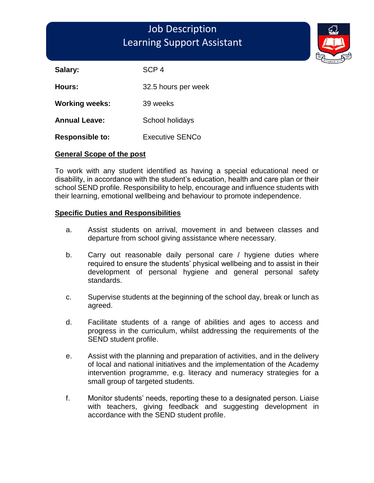# Job Description Learning Support Assistant

Salary: SCP 4

**Hours:** 32.5 hours per week

**Working weeks:** 39 weeks

Annual Leave: School holidays

**Responsible to:** Executive SENCo

#### **General Scope of the post**

To work with any student identified as having a special educational need or disability, in accordance with the student's education, health and care plan or their school SEND profile. Responsibility to help, encourage and influence students with their learning, emotional wellbeing and behaviour to promote independence.

#### **Specific Duties and Responsibilities**

- a. Assist students on arrival, movement in and between classes and departure from school giving assistance where necessary.
- b. Carry out reasonable daily personal care / hygiene duties where required to ensure the students' physical wellbeing and to assist in their development of personal hygiene and general personal safety standards.
- c. Supervise students at the beginning of the school day, break or lunch as agreed.
- d. Facilitate students of a range of abilities and ages to access and progress in the curriculum, whilst addressing the requirements of the SEND student profile.
- e. Assist with the planning and preparation of activities, and in the delivery of local and national initiatives and the implementation of the Academy intervention programme, e.g. literacy and numeracy strategies for a small group of targeted students.
- f. Monitor students' needs, reporting these to a designated person. Liaise with teachers, giving feedback and suggesting development in accordance with the SEND student profile.

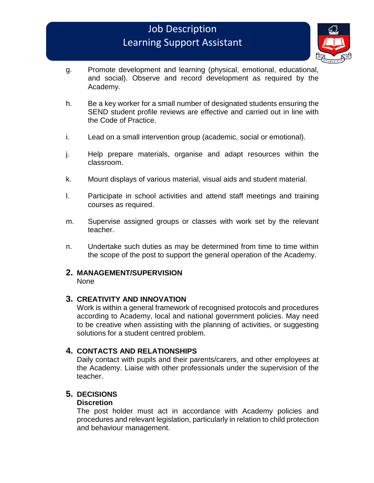# Job Description Learning Support Assistant



- g. Promote development and learning (physical, emotional, educational, and social). Observe and record development as required by the Academy.
- h. Be a key worker for a small number of designated students ensuring the SEND student profile reviews are effective and carried out in line with the Code of Practice.
- i. Lead on a small intervention group (academic, social or emotional).
- j. Help prepare materials, organise and adapt resources within the classroom.
- k. Mount displays of various material, visual aids and student material.
- l. Participate in school activities and attend staff meetings and training courses as required.
- m. Supervise assigned groups or classes with work set by the relevant teacher.
- n. Undertake such duties as may be determined from time to time within the scope of the post to support the general operation of the Academy.

### **2. MANAGEMENT/SUPERVISION**

None

#### **3. CREATIVITY AND INNOVATION**

Work is within a general framework of recognised protocols and procedures according to Academy, local and national government policies. May need to be creative when assisting with the planning of activities, or suggesting solutions for a student centred problem.

#### **4. CONTACTS AND RELATIONSHIPS**

Daily contact with pupils and their parents/carers, and other employees at the Academy. Liaise with other professionals under the supervision of the teacher.

### **5. DECISIONS**

#### **Discretion**

The post holder must act in accordance with Academy policies and procedures and relevant legislation, particularly in relation to child protection and behaviour management.